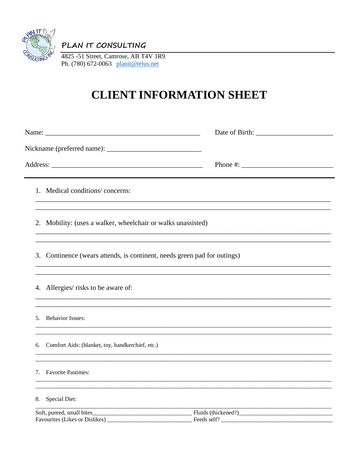

PLAN IT CONSULTING

4825 -51 Street, Camrose, AB T4V 1R9 Ph. (780) 672-0063 planit@telus.net

## **CLIENT INFORMATION SHEET**

|                                                                          | Phone #: $\frac{1}{2}$ $\frac{1}{2}$ $\frac{1}{2}$ $\frac{1}{2}$ $\frac{1}{2}$ $\frac{1}{2}$ $\frac{1}{2}$ $\frac{1}{2}$ $\frac{1}{2}$ $\frac{1}{2}$ $\frac{1}{2}$ $\frac{1}{2}$ $\frac{1}{2}$ $\frac{1}{2}$ $\frac{1}{2}$ $\frac{1}{2}$ $\frac{1}{2}$ $\frac{1}{2}$ $\frac{1}{2}$ $\frac{1}{2}$ $\frac{1}{2}$ $\$ |
|--------------------------------------------------------------------------|--------------------------------------------------------------------------------------------------------------------------------------------------------------------------------------------------------------------------------------------------------------------------------------------------------------------|
| 1. Medical conditions/concerns:                                          |                                                                                                                                                                                                                                                                                                                    |
| 2. Mobility: (uses a walker, wheelchair or walks unassisted)             |                                                                                                                                                                                                                                                                                                                    |
| 3. Continence (wears attends, is continent, needs green pad for outings) |                                                                                                                                                                                                                                                                                                                    |
| 4. Allergies/ risks to be aware of:                                      | ,我们也不能在这里的时候,我们也不能在这里的时候,我们也不能不能不能不能不能不能不能不能不能不能不能不能不能不能不能。""我们的是我们的,我们也不能不能不能不能                                                                                                                                                                                                                                   |
| 5. Behavior Issues:                                                      |                                                                                                                                                                                                                                                                                                                    |
| 6. Comfort Aids: (blanket, toy, handkerchief, etc.)                      |                                                                                                                                                                                                                                                                                                                    |
| 7. Favorite Pastimes:                                                    |                                                                                                                                                                                                                                                                                                                    |
| 8. Special Diet:                                                         |                                                                                                                                                                                                                                                                                                                    |
| Favourites (Likes or Dislikes) _                                         | Feeds self?                                                                                                                                                                                                                                                                                                        |